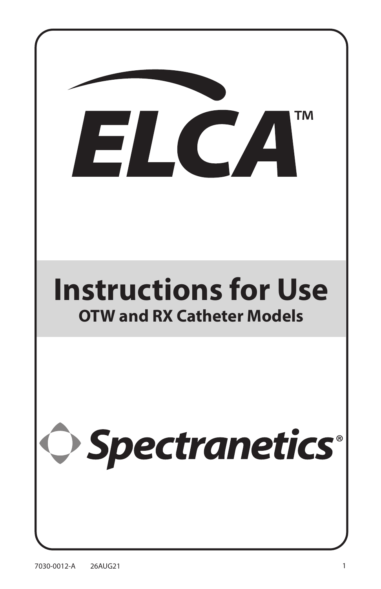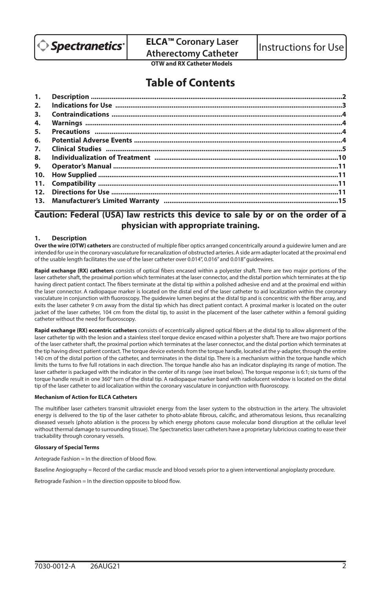

**ELCA™ Coronary Laser ELCA<sup>T</sup> Coronary Laser** | Instructions for Use<br>Atherectomy Catheter

**OTW and RX Catheter Models**

# **Table of Contents**

| 4. |  |
|----|--|
|    |  |
|    |  |
|    |  |
|    |  |
| 9. |  |
|    |  |
|    |  |
|    |  |
|    |  |
|    |  |

# **Caution: Federal (USA) law restricts this device to sale by or on the order of a physician with appropriate training.**

#### **1. Description**

**Over the wire (OTW) catheters** are constructed of multiple fiber optics arranged concentrically around a guidewire lumen and are intended for use in the coronary vasculature for recanalization of obstructed arteries. A side arm adapter located at the proximal end of the usable length facilitates the use of the laser catheter over 0.014", 0.016" and 0.018" guidewires.

**Rapid exchange (RX) catheters** consists of optical fibers encased within a polyester shaft. There are two major portions of the laser catheter shaft, the proximal portion which terminates at the laser connector, and the distal portion which terminates at the tip having direct patient contact. The fibers terminate at the distal tip within a polished adhesive end and at the proximal end within the laser connector. A radiopaque marker is located on the distal end of the laser catheter to aid localization within the coronary vasculature in conjunction with fluoroscopy. The guidewire lumen begins at the distal tip and is concentric with the fiber array, and exits the laser catheter 9 cm away from the distal tip which has direct patient contact. A proximal marker is located on the outer jacket of the laser catheter, 104 cm from the distal tip, to assist in the placement of the laser catheter within a femoral guiding catheter without the need for fluoroscopy.

**Rapid exchange (RX) eccentric catheters** consists of eccentrically aligned optical fibers at the distal tip to allow alignment of the laser catheter tip with the lesion and a stainless steel torque device encased within a polyester shaft. There are two major portions of the laser catheter shaft, the proximal portion which terminates at the laser connector, and the distal portion which terminates at the tip having direct patient contact. The torque device extends from the torque handle, located at the y-adapter, through the entire 140 cm of the distal portion of the catheter, and terminates in the distal tip. There is a mechanism within the torque handle which limits the turns to five full rotations in each direction. The torque handle also has an indicator displaying its range of motion. The laser catheter is packaged with the indicator in the center of its range (see inset below). The torque response is 6:1; six turns of the torque handle result in one 360° turn of the distal tip. A radiopaque marker band with radiolucent window is located on the distal tip of the laser catheter to aid localization within the coronary vasculature in conjunction with fluoroscopy.

#### **Mechanism of Action for ELCA Catheters**

The multifiber laser catheters transmit ultraviolet energy from the laser system to the obstruction in the artery. The ultraviolet energy is delivered to the tip of the laser catheter to photo-ablate fibrous, calcific, and atheromatous lesions, thus recanalizing diseased vessels (photo ablation is the process by which energy photons cause molecular bond disruption at the cellular level without thermal damage to surrounding tissue). The Spectranetics laser catheters have a proprietary lubricious coating to ease their trackability through coronary vessels.

#### **Glossary of Special Terms**

Antegrade Fashion = In the direction of blood flow.

Baseline Angiography = Record of the cardiac muscle and blood vessels prior to a given interventional angioplasty procedure.

Retrograde Fashion = In the direction opposite to blood flow.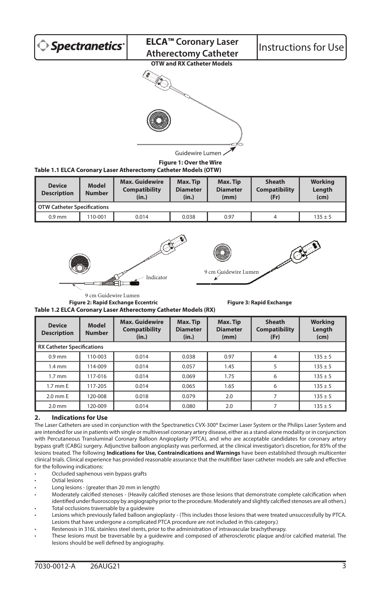

**Figure 1: Over the Wire**

# **Table 1.1 ELCA Coronary Laser Atherectomy Catheter Models (OTW)**

| <b>Device</b><br><b>Description</b> | <b>Model</b><br><b>Number</b> | <b>Max. Guidewire</b><br><b>Compatibility</b><br>(in.) | Max. Tip<br><b>Diameter</b><br>(in.) | Max. Tip<br><b>Diameter</b><br>(mm) | <b>Sheath</b><br><b>Compatibility</b><br>(Fr) | Working<br>Length<br>(cm) |
|-------------------------------------|-------------------------------|--------------------------------------------------------|--------------------------------------|-------------------------------------|-----------------------------------------------|---------------------------|
| <b>OTW Catheter Specifications</b>  |                               |                                                        |                                      |                                     |                                               |                           |
| $0.9$ mm                            | 110-001                       | 0.014                                                  | 0.038                                | 0.97                                | 4                                             | $135 \pm 5$               |





**Figure 2: Rapid Exchange Eccentric Figure 3: Rapid Exchange Table 1.2 ELCA Coronary Laser Atherectomy Catheter Models (RX)** 9 cm Guidewire Lumen

| <b>Device</b><br><b>Description</b> | <b>Model</b><br><b>Number</b>     | <b>Max. Guidewire</b><br><b>Compatibility</b><br>(in.) | Max. Tip<br><b>Diameter</b><br>(in.) | Max. Tip<br><b>Diameter</b><br>(mm) | <b>Sheath</b><br><b>Compatibility</b><br>(Fr) | <b>Working</b><br>Length<br>(cm) |  |
|-------------------------------------|-----------------------------------|--------------------------------------------------------|--------------------------------------|-------------------------------------|-----------------------------------------------|----------------------------------|--|
|                                     | <b>RX Catheter Specifications</b> |                                                        |                                      |                                     |                                               |                                  |  |
| $0.9$ mm                            | 110-003                           | 0.014                                                  | 0.038                                | 0.97                                | 4                                             | $135 \pm 5$                      |  |
| $1.4 \text{ mm}$                    | 114-009                           | 0.014                                                  | 0.057                                | 1.45                                | 5                                             | $135 \pm 5$                      |  |
| $1.7 \text{ mm}$                    | 117-016                           | 0.014                                                  | 0.069                                | 1.75                                | 6                                             | $135 \pm 5$                      |  |
| 1.7 mm E                            | 117-205                           | 0.014                                                  | 0.065                                | 1.65                                | 6                                             | $135 \pm 5$                      |  |
| $2.0$ mm $E$                        | 120-008                           | 0.018                                                  | 0.079                                | 2.0                                 |                                               | $135 \pm 5$                      |  |
| $2.0$ mm                            | 120-009                           | 0.014                                                  | 0.080                                | 2.0                                 |                                               | $135 + 5$                        |  |

## **2. Indications for Use**

The Laser Catheters are used in conjunction with the Spectranetics CVX-300® Excimer Laser System or the Philips Laser System and are intended for use in patients with single or multivessel coronary artery disease, either as a stand-alone modality or in conjunction with Percutaneous Transluminal Coronary Balloon Angioplasty (PTCA), and who are acceptable candidates for coronary artery bypass graft (CABG) surgery. Adjunctive balloon angioplasty was performed, at the clinical investigator's discretion, for 85% of the lesions treated. The following **Indications for Use, Contraindications and Warnings** have been established through multicenter clinical trials. Clinical experience has provided reasonable assurance that the multifiber laser catheter models are safe and effective for the following indications:

- Occluded saphenous vein bypass grafts
- Ostial lesions
- Long lesions (greater than 20 mm in length)
- Moderately calcified stenoses (Heavily calcified stenoses are those lesions that demonstrate complete calcification when identified under fluoroscopy by angiography prior to the procedure. Moderately and slightly calcified stenoses are all others.)
- Total occlusions traversable by a guidewire
- Lesions which previously failed balloon angioplasty (This includes those lesions that were treated unsuccessfully by PTCA. Lesions that have undergone a complicated PTCA procedure are not included in this category.)
- Restenosis in 316L stainless steel stents, prior to the administration of intravascular brachytherapy.
- These lesions must be traversable by a guidewire and composed of atherosclerotic plaque and/or calcified material. The lesions should be well defined by angiography.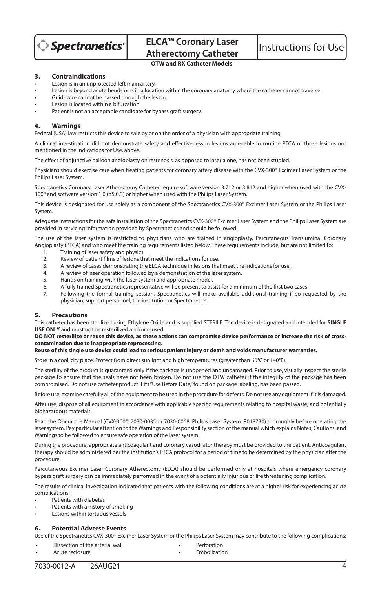

#### **3. Contraindications**

- Lesion is in an unprotected left main artery.
- Lesion is beyond acute bends or is in a location within the coronary anatomy where the catheter cannot traverse.
- Guidewire cannot be passed through the lesion.
- Lesion is located within a bifurcation.
- Patient is not an acceptable candidate for bypass graft surgery.

#### **4. Warnings**

Federal (USA) law restricts this device to sale by or on the order of a physician with appropriate training.

A clinical investigation did not demonstrate safety and effectiveness in lesions amenable to routine PTCA or those lesions not mentioned in the Indications for Use, above.

The effect of adjunctive balloon angioplasty on restenosis, as opposed to laser alone, has not been studied.

Physicians should exercise care when treating patients for coronary artery disease with the CVX-300® Excimer Laser System or the Philips Laser System.

Spectranetics Coronary Laser Atherectomy Catheter require software version 3.712 or 3.812 and higher when used with the CVX-300® and software version 1.0 (b5.0.3) or higher when used with the Philips Laser System.

This device is designated for use solely as a component of the Spectranetics CVX-300® Excimer Laser System or the Philips Laser System.

Adequate instructions for the safe installation of the Spectranetics CVX-300® Excimer Laser System and the Philips Laser System are provided in servicing information provided by Spectranetics and should be followed.

The use of the laser system is restricted to physicians who are trained in angioplasty, Percutaneous Transluminal Coronary Angioplasty (PTCA) and who meet the training requirements listed below. These requirements include, but are not limited to:

- 1. Training of laser safety and physics.
- 2. Review of patient films of lesions that meet the indications for use.
- 3. A review of cases demonstrating the ELCA technique in lesions that meet the indications for use.
- 4. A review of laser operation followed by a demonstration of the laser system.
- 5. Hands on training with the laser system and appropriate model.<br>6. A fully trained Spectranetics representative will be present to ase
- 6. A fully trained Spectranetics representative will be present to assist for a minimum of the first two cases.
- 7. Following the formal training session, Spectranetics will make available additional training if so requested by the physician, support personnel, the institution or Spectranetics.

#### **5. Precautions**

This catheter has been sterilized using Ethylene Oxide and is supplied STERILE. The device is designated and intended for **SINGLE USE ONLY** and must not be resterilized and/or reused.

#### **DO NOT resterilize or reuse this device, as these actions can compromise device performance or increase the risk of crosscontamination due to inappropriate reprocessing.**

#### **Reuse of this single use device could lead to serious patient injury or death and voids manufacturer warranties.**

Store in a cool, dry place. Protect from direct sunlight and high temperatures (greater than 60°C or 140°F).

The sterility of the product is guaranteed only if the package is unopened and undamaged. Prior to use, visually inspect the sterile package to ensure that the seals have not been broken. Do not use the OTW catheter if the integrity of the package has been compromised. Do not use catheter product if its "Use Before Date," found on package labeling, has been passed.

Before use, examine carefully all of the equipment to be used in the procedure for defects. Do not use any equipment if it is damaged.

After use, dispose of all equipment in accordance with applicable specific requirements relating to hospital waste, and potentially biohazardous materials.

Read the Operator's Manual (CVX-300®: 7030-0035 or 7030-0068, Philips Laser System: P018730) thoroughly before operating the laser system. Pay particular attention to the Warnings and Responsibility section of the manual which explains Notes, Cautions, and Warnings to be followed to ensure safe operation of the laser system.

During the procedure, appropriate anticoagulant and coronary vasodilator therapy must be provided to the patient. Anticoagulant therapy should be administered per the institution's PTCA protocol for a period of time to be determined by the physician after the procedure.

Percutaneous Excimer Laser Coronary Atherectomy (ELCA) should be performed only at hospitals where emergency coronary bypass graft surgery can be immediately performed in the event of a potentially injurious or life threatening complication.

The results of clinical investigation indicated that patients with the following conditions are at a higher risk for experiencing acute complications:

- Patients with diabetes
- Patients with a history of smoking
- Lesions within tortuous vessels

## **6. Potential Adverse Events**

Use of the Spectranetics CVX-300® Excimer Laser System or the Philips Laser System may contribute to the following complications:

- **Dissection of the arterial wall**  Perforation<br>
Acute reclosure<br> **Acute reclosure**
- Acute reclosure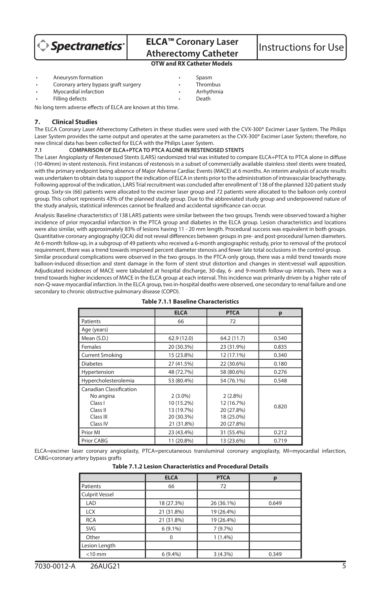

# **ELCA™ Coronary Laser ELCA<sup>T</sup> Coronary Laser** | Instructions for Use<br>Atherectomy Catheter | Instructions for Use

# **OTW and RX Catheter Models**

- 
- Aneurysm formation<br>Coronary artery bypass graft surgery **Fig. 1888** Coronary artery bypass graft surgery
- Myocardial infarction Arrhythmia
- Filling defects

No long term adverse effects of ELCA are known at this time.

#### **7. Clinical Studies**

The ELCA Coronary Laser Atherectomy Catheters in these studies were used with the CVX-300® Excimer Laser System. The Philips Laser System provides the same output and operates at the same parameters as the CVX-300® Excimer Laser System; therefore, no new clinical data has been collected for ELCA with the Philips Laser System.

#### **7.1 COMPARISON OF ELCA+PTCA TO PTCA ALONE IN RESTENOSED STENTS**

The Laser Angioplasty of Restenosed Stents (LARS) randomized trial was initiated to compare ELCA+PTCA to PTCA alone in diffuse (10-40mm) in-stent restenosis. First instances of restenosis in a subset of commercially available stainless steel stents were treated, with the primary endpoint being absence of Major Adverse Cardiac Events (MACE) at 6 months. An interim analysis of acute results was undertaken to obtain data to support the indication of ELCA in stents prior to the administration of intravascular brachytherapy. Following approval of the indication, LARS Trial recruitment was concluded after enrollment of 138 of the planned 320 patient study group. Sixty-six (66) patients were allocated to the excimer laser group and 72 patients were allocated to the balloon only control group. This cohort represents 43% of the planned study group. Due to the abbreviated study group and underpowered nature of the study analysis, statistical inferences cannot be finalized and accidental significance can occur.

Analysis: Baseline characteristics of 138 LARS patients were similar between the two groups. Trends were observed toward a higher incidence of prior myocardial infarction in the PTCA group and diabetes in the ELCA group. Lesion characteristics and locations were also similar, with approximately 83% of lesions having 11 - 20 mm length. Procedural success was equivalent in both groups. Quantitative coronary angiography (QCA) did not reveal differences between groups in pre- and post-procedural lumen diameters. At 6-month follow-up, in a subgroup of 49 patients who received a 6-month angiographic restudy, prior to removal of the protocol requirement, there was a trend towards improved percent diameter stenosis and fewer late total occlusions in the control group. Similar procedural complications were observed in the two groups. In the PTCA-only group, there was a mild trend towards more balloon-induced dissection and stent damage in the form of stent strut distortion and changes in stent:vessel wall apposition. Adjudicated incidences of MACE were tabulated at hospital discharge, 30-day, 6- and 9-month follow-up intervals. There was a trend towards higher incidences of MACE in the ELCA group at each interval. This incidence was primarily driven by a higher rate of non-Q-wave myocardial infarction. In the ELCA group, two in-hospital deaths were observed, one secondary to renal failure and one secondary to chronic obstructive pulmonary disease (COPD).

|                                                                                      | <b>ELCA</b>                                                        | <b>PTCA</b>                                                        | p     |
|--------------------------------------------------------------------------------------|--------------------------------------------------------------------|--------------------------------------------------------------------|-------|
| Patients                                                                             | 66                                                                 | 72                                                                 |       |
| Age (years)                                                                          |                                                                    |                                                                    |       |
| Mean (S.D.)                                                                          | 62.9 (12.0)                                                        | 64.2 (11.7)                                                        | 0.540 |
| Females                                                                              | 20 (30.3%)                                                         | 23 (31.9%)                                                         | 0.835 |
| <b>Current Smoking</b>                                                               | 15 (23.8%)                                                         | 12 (17.1%)                                                         | 0.340 |
| <b>Diabetes</b>                                                                      | 27 (41.5%)                                                         | 22 (30.6%)                                                         | 0.180 |
| Hypertension                                                                         | 48 (72.7%)                                                         | 58 (80.6%)                                                         | 0.276 |
| Hypercholesterolemia                                                                 | 53 (80.4%)                                                         | 54 (76.1%)                                                         | 0.548 |
| Canadian Classification<br>No angina<br>Class I<br>Class II<br>Class III<br>Class IV | $2(3.0\%)$<br>10 (15.2%)<br>13 (19.7%)<br>20 (30.3%)<br>21 (31.8%) | $2(2.8\%)$<br>12 (16.7%)<br>20 (27.8%)<br>18 (25.0%)<br>20 (27.8%) | 0.820 |
| Prior MI                                                                             | 23 (43.4%)                                                         | 31 (55.4%)                                                         | 0.212 |
| Prior CABG                                                                           | 11 (20.8%)                                                         | 13 (23.6%)                                                         | 0.719 |

#### **Table 7.1.1 Baseline Characteristics**

ELCA=excimer laser coronary angioplasty, PTCA=percutaneous transluminal coronary angioplasty, MI=myocardial infarction, CABG=coronary artery bypass grafts

|                       | <b>ELCA</b> | <b>PTCA</b> | р     |
|-----------------------|-------------|-------------|-------|
| Patients              | 66          | 72          |       |
| <b>Culprit Vessel</b> |             |             |       |
| LAD                   | 18 (27.3%)  | 26 (36.1%)  | 0.649 |
| <b>LCX</b>            | 21 (31.8%)  | 19 (26.4%)  |       |
| <b>RCA</b>            | 21 (31.8%)  | 19 (26.4%)  |       |
| SVG                   | $6(9.1\%)$  | 7 (9.7%)    |       |
| Other                 |             | 1(1.4%)     |       |
| Lesion Length         |             |             |       |
| $<$ 10 mm             | $6(9.4\%)$  | $3(4.3\%)$  | 0.349 |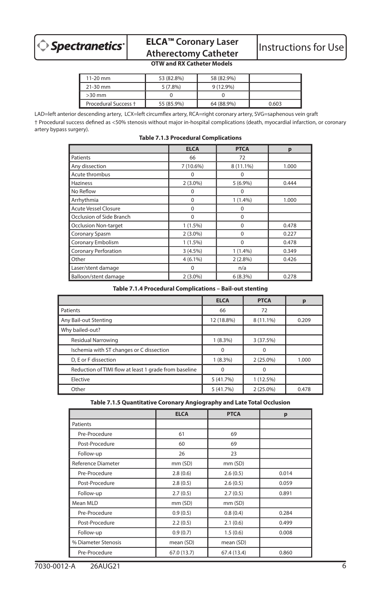

# **ELCA™ Coronary Laser ELCA<sup>™</sup> Coronary Laser** Instructions for Use<br>Atherectomy Catheter Instructions for Use

# **OTW and RX Catheter Models**

| 11-20 mm             | 53 (82.8%) | 58 (82.9%)  |       |
|----------------------|------------|-------------|-------|
| 21-30 mm             | $5(7.8\%)$ | $9(12.9\%)$ |       |
| $>30$ mm             |            |             |       |
| Procedural Success + | 55 (85.9%) | 64 (88.9%)  | 0.603 |

LAD=left anterior descending artery, LCX=left circumflex artery, RCA=right coronary artery, SVG=saphenous vein graft † Procedural success defined as <50% stenosis without major in-hospital complications (death, myocardial infarction, or coronary artery bypass surgery).

|                             | <b>ELCA</b> | <b>PTCA</b> | p     |
|-----------------------------|-------------|-------------|-------|
| Patients                    | 66          | 72          |       |
| Any dissection              | 7 (10.6%)   | 8 (11.1%)   | 1.000 |
| Acute thrombus              | $\Omega$    | $\Omega$    |       |
| Haziness                    | $2(3.0\%)$  | 5(6.9%)     | 0.444 |
| No Reflow                   | $\Omega$    | $\Omega$    |       |
| Arrhythmia                  | $\Omega$    | $1(1.4\%)$  | 1.000 |
| <b>Acute Vessel Closure</b> | $\Omega$    | $\mathbf 0$ |       |
| Occlusion of Side Branch    | $\Omega$    | $\Omega$    |       |
| <b>Occlusion Non-target</b> | $1(1.5\%)$  | $\Omega$    | 0.478 |
| Coronary Spasm              | $2(3.0\%)$  | $\Omega$    | 0.227 |
| Coronary Embolism           | $1(1.5\%)$  | $\Omega$    | 0.478 |
| <b>Coronary Perforation</b> | $3(4.5\%)$  | 1(1.4%)     | 0.349 |
| Other                       | $4(6.1\%)$  | $2(2.8\%)$  | 0.426 |
| Laser/stent damage          | 0           | n/a         |       |
| Balloon/stent damage        | $2(3.0\%)$  | 6(8.3%)     | 0.278 |

#### **Table 7.1.3 Procedural Complications**

#### **Table 7.1.4 Procedural Complications – Bail-out stenting**

|                                                       | <b>ELCA</b> | <b>PTCA</b> | р     |
|-------------------------------------------------------|-------------|-------------|-------|
| Patients                                              | 66          | 72          |       |
| Any Bail-out Stenting                                 | 12 (18.8%)  | 8 (11.1%)   | 0.209 |
| Why bailed-out?                                       |             |             |       |
| <b>Residual Narrowing</b>                             | $1(8.3\%)$  | 3 (37.5%)   |       |
| Ischemia with ST changes or C dissection              | $\Omega$    | 0           |       |
| D. E or F dissection                                  | $1(8.3\%)$  | $2(25.0\%)$ | 1.000 |
| Reduction of TIMI flow at least 1 grade from baseline | O           |             |       |
| Elective                                              | 5 (41.7%)   | 1 (12.5%)   |       |
| Other                                                 | 5 (41.7%)   | 2 (25.0%)   | 0.478 |

**Table 7.1.5 Quantitative Coronary Angiography and Late Total Occlusion**

|                     | <b>ELCA</b> | <b>PTCA</b> | p     |
|---------------------|-------------|-------------|-------|
| Patients            |             |             |       |
| Pre-Procedure       | 61          | 69          |       |
| Post-Procedure      | 60          | 69          |       |
| Follow-up           | 26          | 23          |       |
| Reference Diameter  | mm (SD)     | mm (SD)     |       |
| Pre-Procedure       | 2.8(0.6)    | 2.6(0.5)    | 0.014 |
| Post-Procedure      | 2.8(0.5)    | 2.6(0.5)    | 0.059 |
| Follow-up           | 2.7(0.5)    | 2.7(0.5)    | 0.891 |
| Mean MLD            | mm (SD)     | mm(SD)      |       |
| Pre-Procedure       | 0.9(0.5)    | 0.8(0.4)    | 0.284 |
| Post-Procedure      | 2.2(0.5)    | 2.1(0.6)    | 0.499 |
| Follow-up           | 0.9(0.7)    | 1.5(0.6)    | 0.008 |
| % Diameter Stenosis | mean (SD)   | mean (SD)   |       |
| Pre-Procedure       | 67.0 (13.7) | 67.4 (13.4) | 0.860 |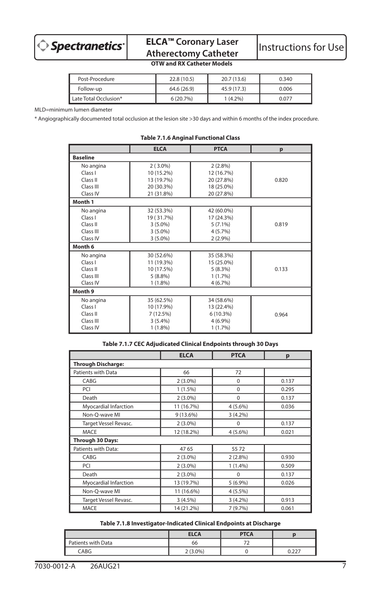

# **ELCA™ Coronary Laser**

# **OTW and RX Catheter Models**

| Post-Procedure        | 22.8 (10.5) | 20.7 (13.6) | 0.340 |
|-----------------------|-------------|-------------|-------|
| Follow-up             | 64.6 (26.9) | 45.9 (17.3) | 0.006 |
| Late Total Occlusion* | 6(20.7%)    | $(4.2\%)$   | 0.077 |

MLD=minimum lumen diameter

\* Angiographically documented total occlusion at the lesion site >30 days and within 6 months of the index procedure.

|                 | <b>ELCA</b> | <b>PTCA</b> | p     |  |  |  |
|-----------------|-------------|-------------|-------|--|--|--|
| <b>Baseline</b> |             |             |       |  |  |  |
| No angina       | $2(3.0\%)$  | $2(2.8\%)$  |       |  |  |  |
| Class I         | 10 (15.2%)  | 12 (16.7%)  |       |  |  |  |
| Class II        | 13 (19.7%)  | 20 (27.8%)  | 0.820 |  |  |  |
| Class III       | 20 (30.3%)  | 18 (25.0%)  |       |  |  |  |
| Class IV        | 21 (31.8%)  | 20 (27.8%)  |       |  |  |  |
| Month 1         |             |             |       |  |  |  |
| No angina       | 32 (53.3%)  | 42 (60.0%)  |       |  |  |  |
| Class I         | 19 (31.7%)  | 17 (24.3%)  |       |  |  |  |
| Class II        | $3(5.0\%)$  | $5(7.1\%)$  | 0.819 |  |  |  |
| Class III       | $3(5.0\%)$  | $4(5.7\%)$  |       |  |  |  |
| Class IV        | $3(5.0\%)$  | $2(2.9\%)$  |       |  |  |  |
| Month 6         |             |             |       |  |  |  |
| No angina       | 30 (52.6%)  | 35 (58.3%)  |       |  |  |  |
| Class I         | 11 (19.3%)  | 15 (25.0%)  |       |  |  |  |
| Class II        | 10 (17.5%)  | $5(8.3\%)$  | 0.133 |  |  |  |
| Class III       | $5(8.8\%)$  | $1(1.7\%)$  |       |  |  |  |
| Class IV        | $1(1.8\%)$  | 4(6.7%)     |       |  |  |  |
| Month 9         |             |             |       |  |  |  |
| No angina       | 35 (62.5%)  | 34 (58.6%)  |       |  |  |  |
| Class I         | 10 (17.9%)  | 13 (22.4%)  |       |  |  |  |
| Class II        | 7(12.5%)    | $6(10.3\%)$ | 0.964 |  |  |  |
| Class III       | $3(5.4\%)$  | 4(6.9%)     |       |  |  |  |
| Class IV        | $1(1.8\%)$  | $1(1.7\%)$  |       |  |  |  |

#### **Table 7.1.6 Anginal Functional Class**

# **Table 7.1.7 CEC Adjudicated Clinical Endpoints through 30 Days**

|                           | <b>ELCA</b> | <b>PTCA</b> | p     |
|---------------------------|-------------|-------------|-------|
| <b>Through Discharge:</b> |             |             |       |
| Patients with Data        | 66          | 72          |       |
| CABG                      | $2(3.0\%)$  | 0           | 0.137 |
| PCI                       | $1(1.5\%)$  | 0           | 0.295 |
| Death                     | $2(3.0\%)$  | 0           | 0.137 |
| Myocardial Infarction     | 11 (16.7%)  | $4(5.6\%)$  | 0.036 |
| Non-Q-wave MI             | $9(13.6\%)$ | $3(4.2\%)$  |       |
| Target Vessel Revasc.     | $2(3.0\%)$  | 0           | 0.137 |
| <b>MACE</b>               | 12 (18.2%)  | $4(5.6\%)$  | 0.021 |
| Through 30 Days:          |             |             |       |
| Patients with Data:       | 4765        | 5572        |       |
| CABG                      | $2(3.0\%)$  | $2(2.8\%)$  | 0.930 |
| PCI                       | $2(3.0\%)$  | 1(1.4%)     | 0.509 |
| Death                     | $2(3.0\%)$  | $\Omega$    | 0.137 |
| Myocardial Infarction     | 13 (19.7%)  | $5(6.9\%)$  | 0.026 |
| Non-Q-wave MI             | 11 (16.6%)  | $4(5.5\%)$  |       |
| Target Vessel Revasc.     | 3(4.5%)     | $3(4.2\%)$  | 0.913 |
| <b>MACE</b>               | 14 (21.2%)  | 7 (9.7%)    | 0.061 |

## **Table 7.1.8 Investigator-Indicated Clinical Endpoints at Discharge**

|                    | <b>ELCA</b> | <b>PTCA</b> |     |
|--------------------|-------------|-------------|-----|
| Patients with Data | 66          |             |     |
| CABG               | $2(3.0\%)$  |             | つつつ |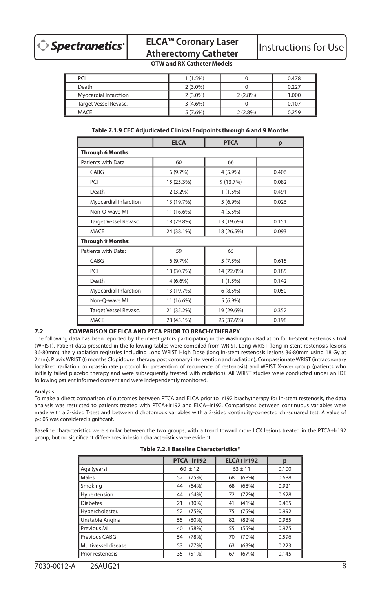

# **ELCA™ Coronary Laser ELCA<sup>T</sup> Coronary Laser** | Instructions for Use<br>Atherectomy Catheter | Instructions for Use

# **OTW and RX Catheter Models**

| PCI                   | $1(1.5\%)$ |            | 0.478 |
|-----------------------|------------|------------|-------|
| Death                 | $2(3.0\%)$ |            | 0.227 |
| Myocardial Infarction | $2(3.0\%)$ | $2(2.8\%)$ | 1.000 |
| Target Vessel Revasc. | $3(4.6\%)$ |            | 0.107 |
| MACE                  | $5(7.6\%)$ | $2(2.8\%)$ | 0.259 |

|                          | <b>ELCA</b> | <b>PTCA</b> | p     |
|--------------------------|-------------|-------------|-------|
| <b>Through 6 Months:</b> |             |             |       |
| Patients with Data       | 60          | 66          |       |
| CABG                     | 6 (9.7%)    | 4 (5.9%)    | 0.406 |
| <b>PCI</b>               | 15 (25.3%)  | 9 (13.7%)   | 0.082 |
| Death                    | $2(3.2\%)$  | $1(1.5\%)$  | 0.491 |
| Myocardial Infarction    | 13 (19.7%)  | $5(6.9\%)$  | 0.026 |
| Non-Q-wave MI            | 11 (16.6%)  | $4(5.5\%)$  |       |
| Target Vessel Revasc.    | 18 (29.8%)  | 13 (19.6%)  | 0.151 |
| MACE                     | 24 (38.1%)  | 18 (26.5%)  | 0.093 |
| <b>Through 9 Months:</b> |             |             |       |
| Patients with Data:      | 59          | 65          |       |
| CABG                     | 6 (9.7%)    | 5(7.5%)     | 0.615 |
| PCI                      | 18 (30.7%)  | 14 (22.0%)  | 0.185 |
| Death                    | $4(6.6\%)$  | $1(1.5\%)$  | 0.142 |
| Myocardial Infarction    | 13 (19.7%)  | 6(8.5%)     | 0.050 |
| Non-Q-wave MI            | 11 (16.6%)  | $5(6.9\%)$  |       |
| Target Vessel Revasc.    | 21 (35.2%)  | 19 (29.6%)  | 0.352 |
| <b>MACE</b>              | 28 (45.1%)  | 25 (37.6%)  | 0.198 |

## **7.2 COMPARISON OF ELCA AND PTCA PRIOR TO BRACHYTHERAPY**

The following data has been reported by the investigators participating in the Washington Radiation for In-Stent Restenosis Trial (WRIST). Patient data presented in the following tables were compiled from WRIST, Long WRIST (long in-stent restenosis lesions 36-80mm), the γ radiation registries including Long WRIST High Dose (long in-stent restenosis lesions 36-80mm using 18 Gy at 2mm), Plavix WRIST (6 months Clopidogrel therapy post coronary intervention and radiation), Compassionate WRIST (intracoronary localized radiation compassionate protocol for prevention of recurrence of restenosis) and WRIST X-over group (patients who initially failed placebo therapy and were subsequently treated with radiation). All WRIST studies were conducted under an IDE following patient informed consent and were independently monitored.

#### Analysis:

To make a direct comparison of outcomes between PTCA and ELCA prior to Ir192 brachytherapy for in-stent restenosis, the data analysis was restricted to patients treated with PTCA+Ir192 and ELCA+Ir192. Comparisons between continuous variables were made with a 2-sided T-test and between dichotomous variables with a 2-sided continuity-corrected chi-squared test. A value of p<.05 was considered significant.

Baseline characteristics were similar between the two groups, with a trend toward more LCX lesions treated in the PTCA+Ir192 group, but no significant differences in lesion characteristics were evident.

|  |  | Table 7.2.1 Baseline Characteristics* |
|--|--|---------------------------------------|
|--|--|---------------------------------------|

|                     | PTCA+Ir192  | ELCA+Ir192  | р     |
|---------------------|-------------|-------------|-------|
| Age (years)         | $60 + 12$   | $63 \pm 11$ | 0.100 |
| Males               | (75%)<br>52 | (68%)<br>68 | 0.688 |
| Smoking             | (64%)<br>44 | (68%)<br>68 | 0.921 |
| Hypertension        | (64%)<br>44 | (72%)<br>72 | 0.628 |
| <b>Diabetes</b>     | (30%)<br>21 | (41%)<br>41 | 0.465 |
| Hypercholester.     | (75%)<br>52 | (75%)<br>75 | 0.992 |
| Unstable Angina     | 55<br>(80%) | (82%)<br>82 | 0.985 |
| Previous MI         | (58%)<br>40 | (55%)<br>55 | 0.975 |
| Previous CABG       | (78%)<br>54 | (70%)<br>70 | 0.596 |
| Multivessel disease | 53<br>(77%) | (63%)<br>63 | 0.223 |
| Prior restenosis    | (51%)<br>35 | (67%)<br>67 | 0.145 |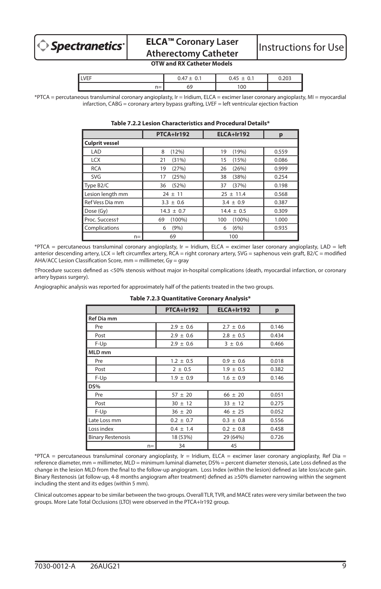

# **ELCA™ Coronary Laser ELCA<sup>T</sup> Coronary Laser** | Instructions for Use<br>Atherectomy Catheter

## **OTW and RX Catheter Models**

| <b>VEF</b> |    |    |  |
|------------|----|----|--|
| $n =$      | :ס | oc |  |

\*PTCA = percutaneous transluminal coronary angioplasty, Ir = Iridium, ELCA = excimer laser coronary angioplasty, MI = myocardial infarction, CABG = coronary artery bypass grafting, LVEF = left ventricular ejection fraction

|                            | PTCA+Ir192      | ELCA+Ir192       | р     |  |  |
|----------------------------|-----------------|------------------|-------|--|--|
| <b>Culprit vessel</b>      |                 |                  |       |  |  |
| LAD                        | (12%)<br>8      | (19%)<br>19      | 0.559 |  |  |
| <b>LCX</b>                 | (31%)<br>21     | (15%)<br>15      | 0.086 |  |  |
| <b>RCA</b>                 | (27%)<br>19     | (26%)<br>26      | 0.999 |  |  |
| SVG                        | (25%)<br>17     | (38%)<br>38      | 0.254 |  |  |
| Type B <sub>2</sub> /C     | (52%)<br>36     | (37%)<br>37      | 0.198 |  |  |
| Lesion length mm           | $24 \pm 11$     | $25 \pm 11.4$    | 0.568 |  |  |
| Ref Vess Dia mm            | $3.3 \pm 0.6$   | $3.4 \pm 0.9$    | 0.387 |  |  |
| Dose (Gy)                  | $14.3 \pm 0.7$  | $14.4 \pm 0.5$   | 0.309 |  |  |
| Proc. Success <sup>+</sup> | $(100\%)$<br>69 | $(100\%)$<br>100 | 1.000 |  |  |
| Complications              | (9% )<br>6      | (6%)<br>6        | 0.935 |  |  |
| $n =$                      | 69              | 100              |       |  |  |

# **Table 7.2.2 Lesion Characteristics and Procedural Details\***

\*PTCA = percutaneous transluminal coronary angioplasty, Ir = Iridium, ELCA = excimer laser coronary angioplasty, LAD = left anterior descending artery, LCX = left circumflex artery, RCA = right coronary artery, SVG = saphenous vein graft, B2/C = modified AHA/ACC Lesion Classification Score, mm = millimeter, Gy = gray

†Procedure success defined as <50% stenosis without major in-hospital complications (death, myocardial infarction, or coronary artery bypass surgery).

Angiographic analysis was reported for approximately half of the patients treated in the two groups.

| rable 7.2.5 Quantitative Coronary Analysis |      |               |               |       |
|--------------------------------------------|------|---------------|---------------|-------|
|                                            |      | PTCA+Ir192    | ELCA+Ir192    | p     |
| <b>Ref Dia mm</b>                          |      |               |               |       |
| Pre                                        |      | $2.9 \pm 0.6$ | $2.7 \pm 0.6$ | 0.146 |
| Post                                       |      | $2.9 \pm 0.6$ | $2.8 \pm 0.5$ | 0.434 |
| F-Up                                       |      | $2.9 \pm 0.6$ | $3 \pm 0.6$   | 0.466 |
| MLD mm                                     |      |               |               |       |
| Pre                                        |      | $1.2 \pm 0.5$ | $0.9 \pm 0.6$ | 0.018 |
| Post                                       |      | $2 \pm 0.5$   | $1.9 \pm 0.5$ | 0.382 |
| F-Up                                       |      | $1.9 \pm 0.9$ | $1.6 \pm 0.9$ | 0.146 |
| DS%                                        |      |               |               |       |
| Pre                                        |      | $57 \pm 20$   | $66 \pm 20$   | 0.051 |
| Post                                       |      | $30 \pm 12$   | $33 \pm 12$   | 0.275 |
| F-Up                                       |      | $36 \pm 20$   | $46 \pm 25$   | 0.052 |
| Late Loss mm                               |      | $0.2 \pm 0.7$ | $0.3 \pm 0.8$ | 0.556 |
| Loss index                                 |      | $0.4 \pm 1.4$ | $0.2 \pm 0.8$ | 0.458 |
| <b>Binary Restenosis</b>                   |      | 18 (53%)      | 29 (64%)      | 0.726 |
|                                            | $n=$ | 34            | 45            |       |

**Table 7.2.3 Quantitative Coronary Analysis\***

\*PTCA = percutaneous transluminal coronary angioplasty, Ir = Iridium, ELCA = excimer laser coronary angioplasty, Ref Dia = reference diameter, mm = millimeter, MLD = minimum luminal diameter, DS% = percent diameter stenosis, Late Loss defined as the change in the lesion MLD from the final to the follow-up angiogram. Loss Index (within the lesion) defined as late loss/acute gain. Binary Restenosis (at follow-up, 4-8 months angiogram after treatment) defined as ≥50% diameter narrowing within the segment including the stent and its edges (within 5 mm).

Clinical outcomes appear to be similar between the two groups. Overall TLR, TVR, and MACE rates were very similar between the two groups. More Late Total Occlusions (LTO) were observed in the PTCA+Ir192 group.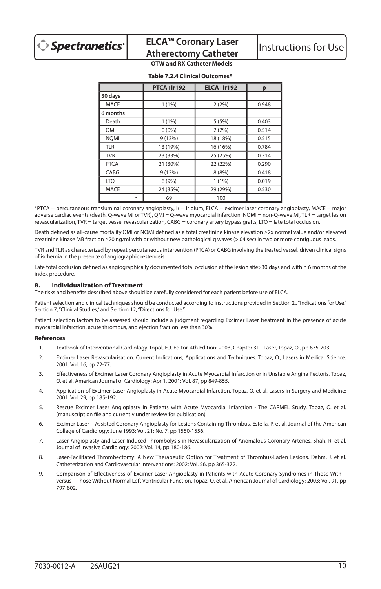|             | PTCA+Ir192 | ELCA+Ir192 | p     |
|-------------|------------|------------|-------|
| 30 days     |            |            |       |
| <b>MACE</b> | 1(1%)      | 2(2%)      | 0.948 |
| 6 months    |            |            |       |
| Death       | 1(1%)      | 5 (5%)     | 0.403 |
| OMI         | 0(0%       | 2(2%)      | 0.514 |
| <b>NOMI</b> | 9(13%)     | 18 (18%)   | 0.515 |
| <b>TLR</b>  | 13 (19%)   | 16 (16%)   | 0.784 |
| <b>TVR</b>  | 23 (33%)   | 25 (25%)   | 0.314 |
| <b>PTCA</b> | 21 (30%)   | 22 (22%)   | 0.290 |
| CABG        | 9 (13%)    | 8 (8%)     | 0.418 |
| <b>LTO</b>  | 6(9%)      | 1(1%)      | 0.019 |
| <b>MACE</b> | 24 (35%)   | 29 (29%)   | 0.530 |
| $n =$       | 69         | 100        |       |

#### **Table 7.2.4 Clinical Outcomes\***

\*PTCA = percutaneous transluminal coronary angioplasty, Ir = Iridium, ELCA = excimer laser coronary angioplasty, MACE = major adverse cardiac events (death, Q-wave MI or TVR), QMI = Q-wave myocardial infarction, NQMI = non-Q-wave MI, TLR = target lesion revascularization, TVR = target vessel revascularization, CABG = coronary artery bypass grafts, LTO = late total occlusion.

Death defined as all-cause mortality.QMI or NQMI defined as a total creatinine kinase elevation ≥2x normal value and/or elevated creatinine kinase MB fraction ≥20 ng/ml with or without new pathological q waves (>.04 sec) in two or more contiguous leads.

TVR and TLR as characterized by repeat percutaneous intervention (PTCA) or CABG involving the treated vessel, driven clinical signs of ischemia in the presence of angiographic restenosis.

Late total occlusion defined as angiographically documented total occlusion at the lesion site>30 days and within 6 months of the index procedure.

## **8. Individualization of Treatment**

The risks and benefits described above should be carefully considered for each patient before use of ELCA.

Patient selection and clinical techniques should be conducted according to instructions provided in Section 2., "Indications for Use," Section 7, "Clinical Studies," and Section 12, "Directions for Use."

Patient selection factors to be assessed should include a judgment regarding Excimer Laser treatment in the presence of acute myocardial infarction, acute thrombus, and ejection fraction less than 30%.

#### **References**

- 1. Textbook of Interventional Cardiology. Topol, E.J. Editor, 4th Edition: 2003, Chapter 31 Laser, Topaz, O., pp 675-703.
- 2. Excimer Laser Revascularisation: Current Indications, Applications and Techniques. Topaz, O., Lasers in Medical Science: 2001: Vol. 16, pp 72-77.
- 3. Effectiveness of Excimer Laser Coronary Angioplasty in Acute Myocardial Infarction or in Unstable Angina Pectoris. Topaz, O. et al. American Journal of Cardiology: Apr 1, 2001: Vol. 87, pp 849-855.
- 4. Application of Excimer Laser Angioplasty in Acute Myocardial Infarction. Topaz, O. et al, Lasers in Surgery and Medicine: 2001: Vol. 29, pp 185-192.
- 5. Rescue Excimer Laser Angioplasty in Patients with Acute Myocardial Infarction The CARMEL Study. Topaz, O. et al. (manuscript on file and currently under review for publication)
- 6. Excimer Laser Assisted Coronary Angioplasty for Lesions Containing Thrombus. Estella, P. et al. Journal of the American College of Cardiology: June 1993: Vol. 21: No. 7, pp 1550-1556.
- 7. Laser Angioplasty and Laser-Induced Thrombolysis in Revascularization of Anomalous Coronary Arteries. Shah, R. et al. Journal of Invasive Cardiology: 2002: Vol. 14, pp 180-186.
- 8. Laser-Facilitated Thrombectomy: A New Therapeutic Option for Treatment of Thrombus-Laden Lesions. Dahm, J. et al. Catheterization and Cardiovascular Interventions: 2002: Vol. 56, pp 365-372.
- 9. Comparison of Effectiveness of Excimer Laser Angioplasty in Patients with Acute Coronary Syndromes in Those With versus – Those Without Normal Left Ventricular Function. Topaz, O. et al. American Journal of Cardiology: 2003: Vol. 91, pp 797-802.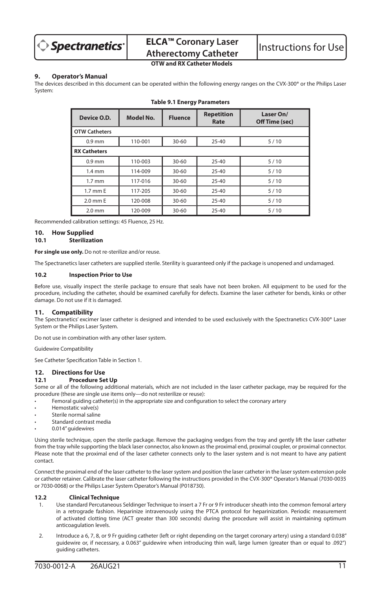

# **ELCA™ Coronary Laser ELUA<sup>T</sup> Coronary Laser** | Instructions for Use

# **OTW and RX Catheter Models**

## **9. Operator's Manual**

The devices described in this document can be operated within the following energy ranges on the CVX-300® or the Philips Laser System:

| Device O.D.          | <b>Model No.</b> | <b>Fluence</b> | <b>Repetition</b><br>Rate | Laser On/<br>Off Time (sec) |
|----------------------|------------------|----------------|---------------------------|-----------------------------|
| <b>OTW Catheters</b> |                  |                |                           |                             |
| $0.9$ mm             | 110-001          | $30 - 60$      | $25 - 40$                 | 5/10                        |
| <b>RX Catheters</b>  |                  |                |                           |                             |
| $0.9$ mm             | 110-003          | $30 - 60$      | $25 - 40$                 | 5/10                        |
| $1.4 \text{ mm}$     | 114-009          | $30 - 60$      | $25 - 40$                 | 5/10                        |
| $1.7 \text{ mm}$     | 117-016          | $30 - 60$      | $25 - 40$                 | 5/10                        |
| 1.7 mm E             | 117-205          | $30 - 60$      | $25 - 40$                 | 5/10                        |
| 2.0 mm E             | 120-008          | $30 - 60$      | $25 - 40$                 | 5/10                        |
| $2.0$ mm             | 120-009          | 30-60          | $25 - 40$                 | 5/10                        |

#### **Table 9.1 Energy Parameters**

Recommended calibration settings: 45 Fluence, 25 Hz.

#### **10. How Supplied**

## **10.1 Sterilization**

**For single use only.** Do not re-sterilize and/or reuse.

The Spectranetics laser catheters are supplied sterile. Sterility is guaranteed only if the package is unopened and undamaged.

#### **10.2 Inspection Prior to Use**

Before use, visually inspect the sterile package to ensure that seals have not been broken. All equipment to be used for the procedure, including the catheter, should be examined carefully for defects. Examine the laser catheter for bends, kinks or other damage. Do not use if it is damaged.

#### **11. Compatibility**

The Spectranetics' excimer laser catheter is designed and intended to be used exclusively with the Spectranetics CVX-300® Laser System or the Philips Laser System.

Do not use in combination with any other laser system.

Guidewire Compatibility

See Catheter Specification Table in Section 1.

#### **12. Directions for Use**

#### **12.1 Procedure Set Up**

Some or all of the following additional materials, which are not included in the laser catheter package, may be required for the procedure (these are single use items only—do not resterilize or reuse):

- Femoral guiding catheter(s) in the appropriate size and configuration to select the coronary artery
- Hemostatic valve(s)
- Sterile normal saline
- Standard contrast media
- 0.014" guidewires

Using sterile technique, open the sterile package. Remove the packaging wedges from the tray and gently lift the laser catheter from the tray while supporting the black laser connector, also known as the proximal end, proximal coupler, or proximal connector. Please note that the proximal end of the laser catheter connects only to the laser system and is not meant to have any patient contact.

Connect the proximal end of the laser catheter to the laser system and position the laser catheter in the laser system extension pole or catheter retainer. Calibrate the laser catheter following the instructions provided in the CVX-300® Operator's Manual (7030-0035 or 7030-0068) or the Philips Laser System Operator's Manual (P018730).

#### **12.2 Clinical Technique**

- 1. Use standard Percutaneous Seldinger Technique to insert a 7 Fr or 9 Fr introducer sheath into the common femoral artery in a retrograde fashion. Heparinize intravenously using the PTCA protocol for heparinization. Periodic measurement of activated clotting time (ACT greater than 300 seconds) during the procedure will assist in maintaining optimum anticoagulation levels.
- 2. Introduce a 6, 7, 8, or 9 Fr guiding catheter (left or right depending on the target coronary artery) using a standard 0.038" guidewire or, if necessary, a 0.063" guidewire when introducing thin wall, large lumen (greater than or equal to .092") guiding catheters.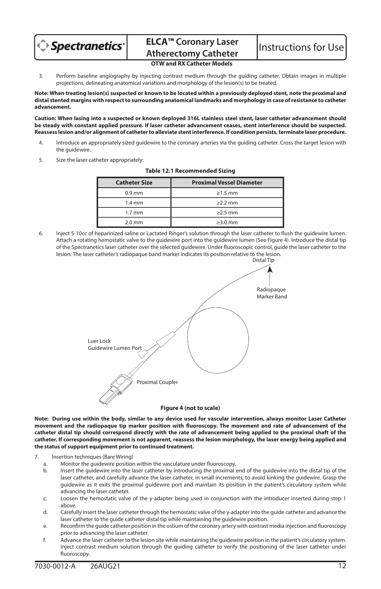

3. Perform baseline angiography by injecting contrast medium through the guiding catheter. Obtain images in multiple projections, delineating anatomical variations and morphology of the lesion(s) to be treated.

**Note: When treating lesion(s) suspected or known to be located within a previously deployed stent, note the proximal and distal stented margins with respect to surrounding anatomical landmarks and morphology in case of resistance to catheter advancement.**

**Caution: When lasing into a suspected or known deployed 316L stainless steel stent, laser catheter advancement should be steady with constant applied pressure. If laser catheter advancement ceases, stent interference should be suspected. Reassess lesion and/or alignment of catheter to alleviate stent interference. If condition persists, terminate laser procedure.**

- 4. Introduce an appropriately sized guidewire to the coronary arteries via the guiding catheter. Cross the target lesion with the guidewire.
- 5. Size the laser catheter appropriately:

| <b>Catheter Size</b> | <b>Proximal Vessel Diameter</b> |
|----------------------|---------------------------------|
| $0.9$ mm             | $\geq 1.5$ mm                   |
| $1.4 \text{ mm}$     | $>2.2$ mm                       |
| $1.7 \text{ mm}$     | $\geq$ 2.5 mm                   |
| $2.0$ mm             | $\geq$ 3.0 mm                   |

#### **Table 12.1 Recommended Sizing**

6. Inject 5-10cc of heparinized saline or Lactated Ringer's solution through the laser catheter to flush the guidewire lumen. Attach a rotating hemostatic valve to the guidewire port into the guidewire lumen (See Figure 4). Introduce the distal tip of the Spectranetics laser catheter over the selected guidewire. Under fluoroscopic control, guide the laser catheter to the lesion. The laser catheter's radiopaque band marker indicates its position relative to the lesion.



**Note: During use within the body, similar to any device used for vascular intervention, always monitor Laser Catheter movement and the radiopaque tip marker position with fluoroscopy. The movement and rate of advancement of the catheter distal tip should correspond directly with the rate of advancement being applied to the proximal shaft of the catheter. If corresponding movement is not apparent, reassess the lesion morphology, the laser energy being applied and the status of support equipment prior to continued treatment.**

- 7. Insertion techniques (Bare Wiring)
	- a. Monitor the guidewire position within the vasculature under fluoroscopy.
	- b. Insert the guidewire into the laser catheter by introducing the proximal end of the guidewire into the distal tip of the laser catheter, and carefully advance the laser catheter, in small increments, to avoid kinking the guidewire. Grasp the guidewire as it exits the proximal guidewire port and maintain its position in the patient's circulatory system while advancing the laser catheter.
	- c. Loosen the hemostatic valve of the y-adapter being used in conjunction with the introducer inserted during step 1 above.
	- d. Carefully insert the laser catheter through the hemostatic valve of the y-adapter into the guide catheter and advance the laser catheter to the guide catheter distal tip while maintaining the guidewire position.
	- e. Reconfirm the guide catheter position in the ostium of the coronary artery with contrast media injection and fluoroscopy prior to advancing the laser catheter.
	- f. Advance the laser catheter to the lesion site while maintaining the guidewire position in the patient's circulatory system. Inject contrast medium solution through the guiding catheter to verify the positioning of the laser catheter under fluoroscopy.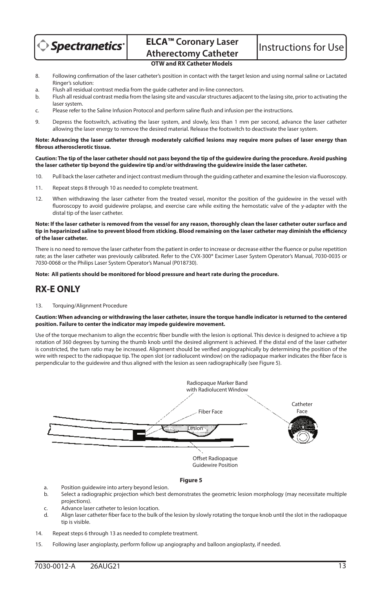

- 8. Following confirmation of the laser catheter's position in contact with the target lesion and using normal saline or Lactated Ringer's solution:
- a. Flush all residual contrast media from the guide catheter and in-line connectors.
- b. Flush all residual contrast media from the lasing site and vascular structures adjacent to the lasing site, prior to activating the laser system.
- c. Please refer to the Saline Infusion Protocol and perform saline flush and infusion per the instructions.
- 9. Depress the footswitch, activating the laser system, and slowly, less than 1 mm per second, advance the laser catheter allowing the laser energy to remove the desired material. Release the footswitch to deactivate the laser system.

#### **Note: Advancing the laser catheter through moderately calcified lesions may require more pulses of laser energy than fibrous atherosclerotic tissue.**

**Caution: The tip of the laser catheter should not pass beyond the tip of the guidewire during the procedure. Avoid pushing the laser catheter tip beyond the guidewire tip and/or withdrawing the guidewire inside the laser catheter.**

- 10. Pull back the laser catheter and inject contrast medium through the guiding catheter and examine the lesion via fluoroscopy.
- 11. Repeat steps 8 through 10 as needed to complete treatment.
- 12. When withdrawing the laser catheter from the treated vessel, monitor the position of the guidewire in the vessel with fluoroscopy to avoid guidewire prolapse, and exercise care while exiting the hemostatic valve of the y-adapter with the distal tip of the laser catheter.

#### **Note: If the laser catheter is removed from the vessel for any reason, thoroughly clean the laser catheter outer surface and tip in heparinized saline to prevent blood from sticking. Blood remaining on the laser catheter may diminish the efficiency of the laser catheter.**

There is no need to remove the laser catheter from the patient in order to increase or decrease either the fluence or pulse repetition rate; as the laser catheter was previously calibrated. Refer to the CVX-300® Excimer Laser System Operator's Manual, 7030-0035 or 7030-0068 or the Philips Laser System Operator's Manual (P018730).

#### **Note: All patients should be monitored for blood pressure and heart rate during the procedure.**

# **RX-E ONLY**

#### 13. Torquing/Alignment Procedure

#### **Caution: When advancing or withdrawing the laser catheter, insure the torque handle indicator is returned to the centered position. Failure to center the indicator may impede guidewire movement.**

Use of the torque mechanism to align the eccentric fiber bundle with the lesion is optional. This device is designed to achieve a tip rotation of 360 degrees by turning the thumb knob until the desired alignment is achieved. If the distal end of the laser catheter is constricted, the turn ratio may be increased. Alignment should be verified angiographically by determining the position of the wire with respect to the radiopaque tip. The open slot (or radiolucent window) on the radiopaque marker indicates the fiber face is perpendicular to the guidewire and thus aligned with the lesion as seen radiographically (see Figure 5).



#### **Figure 5**

- a. Position guidewire into artery beyond lesion.
- b. Select a radiographic projection which best demonstrates the geometric lesion morphology (may necessitate multiple projections).
- c. Advance laser catheter to lesion location.<br>Align laser catheter fiber face to the bulk of
- d. Align laser catheter fiber face to the bulk of the lesion by slowly rotating the torque knob until the slot in the radiopaque tip is visible.
- 14. Repeat steps 6 through 13 as needed to complete treatment.
- 15. Following laser angioplasty, perform follow up angiography and balloon angioplasty, if needed.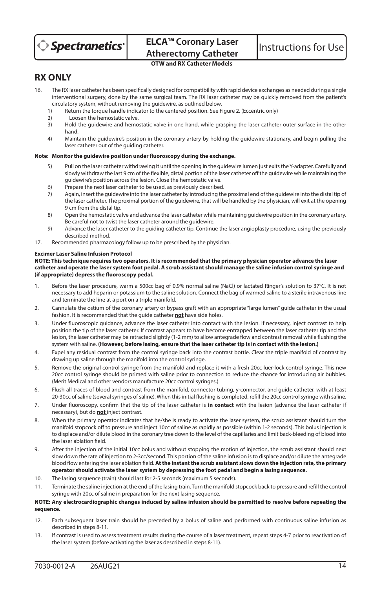

# **RX ONLY**

- 16. The RX laser catheter has been specifically designed for compatibility with rapid device exchanges as needed during a single interventional surgery, done by the same surgical team. The RX laser catheter may be quickly removed from the patient's circulatory system, without removing the guidewire, as outlined below.<br>1) Beturn the torque bandle indicator to the centered position. See E
	- 1) Return the torque handle indicator to the centered position. See Figure 2. (Eccentric only)<br>2) Loosen the hemostatic valve
	- 2) Loosen the hemostatic valve.
	- 3) Hold the guidewire and hemostatic valve in one hand, while grasping the laser catheter outer surface in the other hand.
	- 4) Maintain the guidewire's position in the coronary artery by holding the guidewire stationary, and begin pulling the laser catheter out of the guiding catheter.

## **Note: Monitor the guidewire position under fluoroscopy during the exchange.**

- 5) Pull on the laser catheter withdrawing it until the opening in the guidewire lumen just exits the Y-adapter. Carefully and slowly withdraw the last 9 cm of the flexible, distal portion of the laser catheter off the guidewire while maintaining the guidewire's position across the lesion. Close the hemostatic valve.
- 6) Prepare the next laser catheter to be used, as previously described.
- 7) Again, insert the guidewire into the laser catheter by introducing the proximal end of the guidewire into the distal tip of the laser catheter. The proximal portion of the guidewire, that will be handled by the physician, will exit at the opening 9 cm from the distal tip.
- 8) Open the hemostatic valve and advance the laser catheter while maintaining guidewire position in the coronary artery. Be careful not to twist the laser catheter around the guidewire.
- 9) Advance the laser catheter to the guiding catheter tip. Continue the laser angioplasty procedure, using the previously described method.
- 17. Recommended pharmacology follow up to be prescribed by the physician.

#### **Excimer Laser Saline Infusion Protocol**

#### **NOTE: This technique requires two operators. It is recommended that the primary physician operator advance the laser catheter and operate the laser system foot pedal. A scrub assistant should manage the saline infusion control syringe and (if appropriate) depress the fluoroscopy pedal.**

- 1. Before the laser procedure, warm a 500cc bag of 0.9% normal saline (NaCl) or lactated Ringer's solution to 37°C. It is not necessary to add heparin or potassium to the saline solution. Connect the bag of warmed saline to a sterile intravenous line and terminate the line at a port on a triple manifold.
- 2. Cannulate the ostium of the coronary artery or bypass graft with an appropriate "large lumen" guide catheter in the usual fashion. It is recommended that the guide catheter **not** have side holes.
- 3. Under fluoroscopic guidance, advance the laser catheter into contact with the lesion. If necessary, inject contrast to help position the tip of the laser catheter. If contrast appears to have become entrapped between the laser catheter tip and the lesion, the laser catheter may be retracted slightly (1-2 mm) to allow antegrade flow and contrast removal while flushing the system with saline. **(However, before lasing, ensure that the laser catheter tip is in contact with the lesion.)**
- 4. Expel any residual contrast from the control syringe back into the contrast bottle. Clear the triple manifold of contrast by drawing up saline through the manifold into the control syringe.
- 5. Remove the original control syringe from the manifold and replace it with a fresh 20cc luer-lock control syringe. This new 20cc control syringe should be primed with saline prior to connection to reduce the chance for introducing air bubbles. (Merit Medical and other vendors manufacture 20cc control syringes.)
- 6. Flush all traces of blood and contrast from the manifold, connector tubing, y-connector, and guide catheter, with at least 20-30cc of saline (several syringes of saline). When this initial flushing is completed, refill the 20cc control syringe with saline.
- 7. Under fluoroscopy, confirm that the tip of the laser catheter is **in contact** with the lesion (advance the laser catheter if necessary), but do **not** inject contrast.
- 8. When the primary operator indicates that he/she is ready to activate the laser system, the scrub assistant should turn the manifold stopcock off to pressure and inject 10cc of saline as rapidly as possible (within 1-2 seconds). This bolus injection is to displace and/or dilute blood in the coronary tree down to the level of the capillaries and limit back-bleeding of blood into the laser ablation field.
- 9. After the injection of the initial 10cc bolus and without stopping the motion of injection, the scrub assistant should next slow down the rate of injection to 2-3cc/second. This portion of the saline infusion is to displace and/or dilute the antegrade blood flow entering the laser ablation field. **At the instant the scrub assistant slows down the injection rate, the primary operator should activate the laser system by depressing the foot pedal and begin a lasing sequence.**
- 10. The lasing sequence (train) should last for 2-5 seconds (maximum 5 seconds).
- 11. Terminate the saline injection at the end of the lasing train. Turn the manifold stopcock back to pressure and refill the control syringe with 20cc of saline in preparation for the next lasing sequence.

#### **NOTE: Any electrocardiographic changes induced by saline infusion should be permitted to resolve before repeating the sequence.**

- 12. Each subsequent laser train should be preceded by a bolus of saline and performed with continuous saline infusion as described in steps 8-11.
- 13. If contrast is used to assess treatment results during the course of a laser treatment, repeat steps 4-7 prior to reactivation of the laser system (before activating the laser as described in steps 8-11).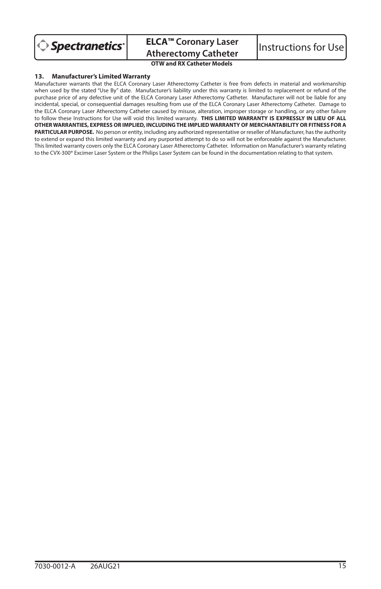

**ELCA™ Coronary Laser ELCA<sup>T</sup> Coronary Laser** | Instructions for Use<br>Atherectomy Catheter | Instructions for Use

**OTW and RX Catheter Models**

#### **13. Manufacturer's Limited Warranty**

Manufacturer warrants that the ELCA Coronary Laser Atherectomy Catheter is free from defects in material and workmanship when used by the stated "Use By" date. Manufacturer's liability under this warranty is limited to replacement or refund of the purchase price of any defective unit of the ELCA Coronary Laser Atherectomy Catheter. Manufacturer will not be liable for any incidental, special, or consequential damages resulting from use of the ELCA Coronary Laser Atherectomy Catheter. Damage to the ELCA Coronary Laser Atherectomy Catheter caused by misuse, alteration, improper storage or handling, or any other failure to follow these Instructions for Use will void this limited warranty. **THIS LIMITED WARRANTY IS EXPRESSLY IN LIEU OF ALL OTHER WARRANTIES, EXPRESS OR IMPLIED, INCLUDING THE IMPLIED WARRANTY OF MERCHANTABILITY OR FITNESS FOR A PARTICULAR PURPOSE.** No person or entity, including any authorized representative or reseller of Manufacturer, has the authority to extend or expand this limited warranty and any purported attempt to do so will not be enforceable against the Manufacturer. This limited warranty covers only the ELCA Coronary Laser Atherectomy Catheter. Information on Manufacturer's warranty relating to the CVX-300® Excimer Laser System or the Philips Laser System can be found in the documentation relating to that system.